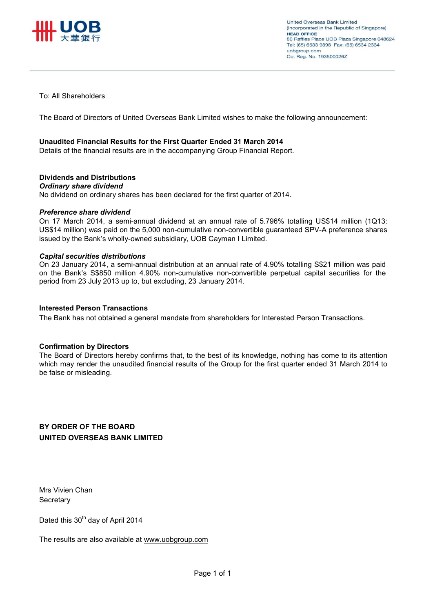

To: All Shareholders

The Board of Directors of United Overseas Bank Limited wishes to make the following announcement:

### **Unaudited Financial Results for the First Quarter Ended 31 March 2014**

Details of the financial results are in the accompanying Group Financial Report.

### **Dividends and Distributions**

#### *Ordinary share dividend*

No dividend on ordinary shares has been declared for the first quarter of 2014.

### *Preference share dividend*

On 17 March 2014, a semi-annual dividend at an annual rate of 5.796% totalling US\$14 million (1Q13: US\$14 million) was paid on the 5,000 non-cumulative non-convertible guaranteed SPV-A preference shares issued by the Bank's wholly-owned subsidiary, UOB Cayman I Limited.

#### *Capital securities distributions*

On 23 January 2014, a semi-annual distribution at an annual rate of 4.90% totalling S\$21 million was paid on the Bank's S\$850 million 4.90% non-cumulative non-convertible perpetual capital securities for the period from 23 July 2013 up to, but excluding, 23 January 2014.

### **Interested Person Transactions**

The Bank has not obtained a general mandate from shareholders for Interested Person Transactions.

### **Confirmation by Directors**

The Board of Directors hereby confirms that, to the best of its knowledge, nothing has come to its attention which may render the unaudited financial results of the Group for the first quarter ended 31 March 2014 to be false or misleading.

### **BY ORDER OF THE BOARD UNITED OVERSEAS BANK LIMITED**

Mrs Vivien Chan **Secretary** 

Dated this 30<sup>th</sup> day of April 2014

The results are also available at www.uobgroup.com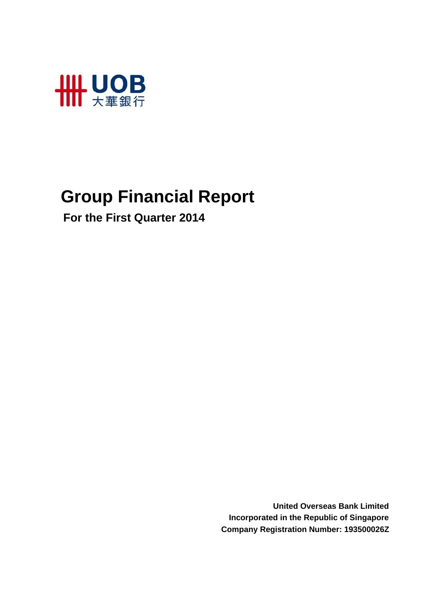

# **Group Financial Report**

 **For the First Quarter 2014**

**United Overseas Bank Limited Incorporated in the Republic of Singapore Company Registration Number: 193500026Z**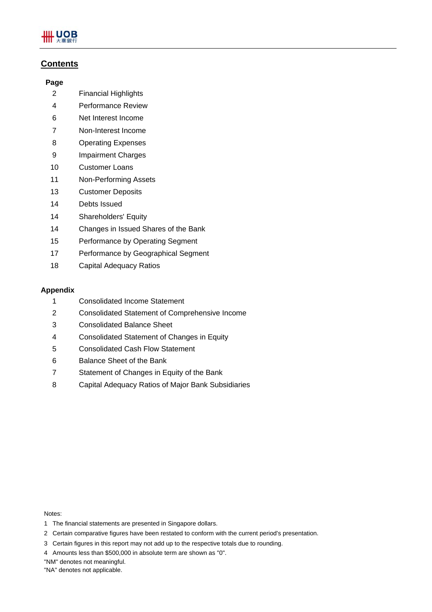

### **Contents**

### **Page**

- 2 Financial Highlights
- 4 Performance Review
- 6 Net Interest Income
- 7 Non-Interest Income
- 8 Operating Expenses
- 9 Impairment Charges
- 10 Customer Loans
- 11 Non-Performing Assets
- 13 Customer Deposits
- 14 Debts Issued
- 14 Shareholders' Equity
- 14 Changes in Issued Shares of the Bank
- 15 Performance by Operating Segment
- 17 Performance by Geographical Segment
- 18 Capital Adequacy Ratios

### **Appendix**

- 1 Consolidated Income Statement
- 2 Consolidated Statement of Comprehensive Income
- 3 Consolidated Balance Sheet
- 4 Consolidated Statement of Changes in Equity
- 5 Consolidated Cash Flow Statement
- 6 Balance Sheet of the Bank
- 7 Statement of Changes in Equity of the Bank
- 8 Capital Adequacy Ratios of Major Bank Subsidiaries

Notes:

- 1 The financial statements are presented in Singapore dollars.
- 2 Certain comparative figures have been restated to conform with the current period's presentation.
- 3 Certain figures in this report may not add up to the respective totals due to rounding.
- 4 Amounts less than \$500,000 in absolute term are shown as "0".
- "NM" denotes not meaningful.
- "NA" denotes not applicable.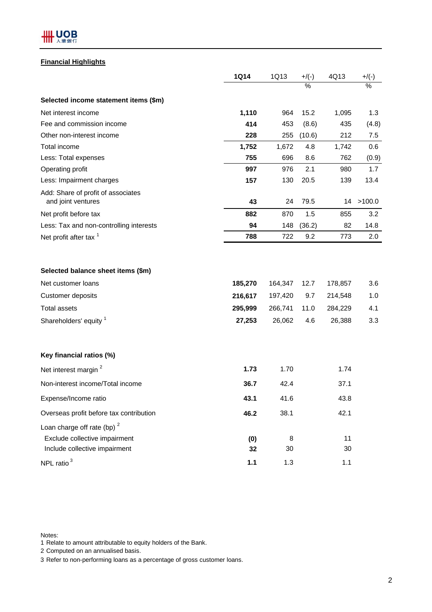

### **Financial Highlights**

|                                                                                                 | <b>1Q14</b>        | 1Q13               | $+$ /(-)      | 4Q13               | $+$ /(-)      |
|-------------------------------------------------------------------------------------------------|--------------------|--------------------|---------------|--------------------|---------------|
|                                                                                                 |                    |                    | $\frac{0}{2}$ |                    | $\frac{0}{2}$ |
| Selected income statement items (\$m)                                                           |                    |                    |               |                    |               |
| Net interest income                                                                             | 1,110              | 964                | 15.2          | 1,095              | 1.3           |
| Fee and commission income                                                                       | 414                | 453                | (8.6)         | 435                | (4.8)         |
| Other non-interest income                                                                       | 228                | 255                | (10.6)        | 212                | 7.5           |
| Total income                                                                                    | 1,752              | 1,672              | 4.8           | 1,742              | 0.6           |
| Less: Total expenses                                                                            | 755                | 696                | 8.6           | 762                | (0.9)         |
| Operating profit                                                                                | 997                | 976                | 2.1           | 980                | 1.7           |
| Less: Impairment charges                                                                        | 157                | 130                | 20.5          | 139                | 13.4          |
| Add: Share of profit of associates<br>and joint ventures                                        | 43                 | 24                 | 79.5          | 14                 | >100.0        |
| Net profit before tax                                                                           | 882                | 870                | 1.5           | 855                | 3.2           |
| Less: Tax and non-controlling interests                                                         | 94                 | 148                | (36.2)        | 82                 | 14.8          |
| Net profit after tax <sup>1</sup>                                                               | 788                | 722                | 9.2           | 773                | 2.0           |
| Selected balance sheet items (\$m)<br>Net customer loans<br>Customer deposits                   | 185,270<br>216,617 | 164,347<br>197,420 | 12.7<br>9.7   | 178,857<br>214,548 | 3.6<br>1.0    |
| <b>Total assets</b>                                                                             | 295,999            | 266,741            | 11.0          | 284,229            | 4.1           |
| Shareholders' equity <sup>1</sup>                                                               | 27,253             | 26,062             | 4.6           | 26,388             | 3.3           |
| Key financial ratios (%)                                                                        |                    |                    |               |                    |               |
| Net interest margin <sup>2</sup>                                                                | 1.73               | 1.70               |               | 1.74               |               |
| Non-interest income/Total income                                                                | 36.7               | 42.4               |               | 37.1               |               |
| Expense/Income ratio                                                                            | 43.1               | 41.6               |               | 43.8               |               |
| Overseas profit before tax contribution                                                         | 46.2               | 38.1               |               | 42.1               |               |
| Loan charge off rate (bp) $2$<br>Exclude collective impairment<br>Include collective impairment | (0)<br>32          | 8<br>30            |               | 11<br>30           |               |
| NPL ratio <sup>3</sup>                                                                          | 1.1                | 1.3                |               | 1.1                |               |

Notes:

1 Relate to amount attributable to equity holders of the Bank.

2 Computed on an annualised basis.

3 Refer to non-performing loans as a percentage of gross customer loans.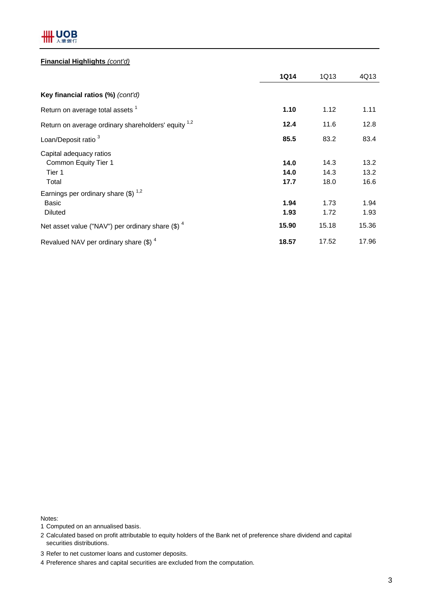

### **Financial Highlights** *(cont'd)*

|                                                                                     | <b>1Q14</b>          | 1Q13                 | 4Q13                 |
|-------------------------------------------------------------------------------------|----------------------|----------------------|----------------------|
| <b>Key financial ratios (%)</b> (cont'd)                                            |                      |                      |                      |
| Return on average total assets <sup>1</sup>                                         | 1.10                 | 1.12                 | 1.11                 |
| Return on average ordinary shareholders' equity 1,2                                 | 12.4                 | 11.6                 | 12.8                 |
| Loan/Deposit ratio <sup>3</sup>                                                     | 85.5                 | 83.2                 | 83.4                 |
| Capital adequacy ratios<br>Common Equity Tier 1<br>Tier 1<br>Total                  | 14.0<br>14.0<br>17.7 | 14.3<br>14.3<br>18.0 | 13.2<br>13.2<br>16.6 |
| Earnings per ordinary share $(\text{\$})$ <sup>1,2</sup><br>Basic<br><b>Diluted</b> | 1.94<br>1.93         | 1.73<br>1.72         | 1.94<br>1.93         |
| Net asset value ("NAV") per ordinary share $(\$)$ <sup>4</sup>                      | 15.90                | 15.18                | 15.36                |
| Revalued NAV per ordinary share $(\$)$ <sup>4</sup>                                 | 18.57                | 17.52                | 17.96                |

Notes:

1 Computed on an annualised basis.

2 Calculated based on profit attributable to equity holders of the Bank net of preference share dividend and capital securities distributions.

3 Refer to net customer loans and customer deposits.

4 Preference shares and capital securities are excluded from the computation.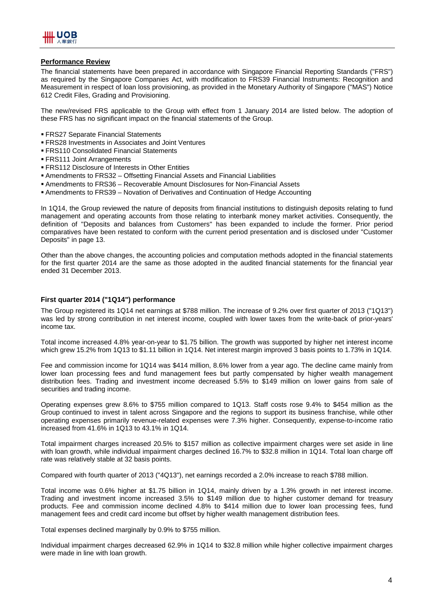

### **Performance Review**

The financial statements have been prepared in accordance with Singapore Financial Reporting Standards ("FRS") as required by the Singapore Companies Act, with modification to FRS39 Financial Instruments: Recognition and Measurement in respect of loan loss provisioning, as provided in the Monetary Authority of Singapore ("MAS") Notice 612 Credit Files, Grading and Provisioning.

The new/revised FRS applicable to the Group with effect from 1 January 2014 are listed below. The adoption of these FRS has no significant impact on the financial statements of the Group.

- FRS27 Separate Financial Statements
- FRS28 Investments in Associates and Joint Ventures
- FRS110 Consolidated Financial Statements
- FRS111 Joint Arrangements
- FRS112 Disclosure of Interests in Other Entities
- Amendments to FRS32 Offsetting Financial Assets and Financial Liabilities
- Amendments to FRS36 Recoverable Amount Disclosures for Non-Financial Assets
- Amendments to FRS39 Novation of Derivatives and Continuation of Hedge Accounting

In 1Q14, the Group reviewed the nature of deposits from financial institutions to distinguish deposits relating to fund management and operating accounts from those relating to interbank money market activities. Consequently, the definition of "Deposits and balances from Customers" has been expanded to include the former. Prior period comparatives have been restated to conform with the current period presentation and is disclosed under "Customer Deposits" in page 13.

Other than the above changes, the accounting policies and computation methods adopted in the financial statements for the first quarter 2014 are the same as those adopted in the audited financial statements for the financial year ended 31 December 2013.

#### **First quarter 2014 ("1Q14") performance**

The Group registered its 1Q14 net earnings at \$788 million. The increase of 9.2% over first quarter of 2013 ("1Q13") was led by strong contribution in net interest income, coupled with lower taxes from the write-back of prior-years' income tax.

Total income increased 4.8% year-on-year to \$1.75 billion. The growth was supported by higher net interest income which grew 15.2% from 1Q13 to \$1.11 billion in 1Q14. Net interest margin improved 3 basis points to 1.73% in 1Q14.

Fee and commission income for 1Q14 was \$414 million, 8.6% lower from a year ago. The decline came mainly from lower loan processing fees and fund management fees but partly compensated by higher wealth management distribution fees. Trading and investment income decreased 5.5% to \$149 million on lower gains from sale of securities and trading income.

Operating expenses grew 8.6% to \$755 million compared to 1Q13. Staff costs rose 9.4% to \$454 million as the Group continued to invest in talent across Singapore and the regions to support its business franchise, while other operating expenses primarily revenue-related expenses were 7.3% higher. Consequently, expense-to-income ratio increased from 41.6% in 1Q13 to 43.1% in 1Q14.

Total impairment charges increased 20.5% to \$157 million as collective impairment charges were set aside in line with loan growth, while individual impairment charges declined 16.7% to \$32.8 million in 1Q14. Total loan charge off rate was relatively stable at 32 basis points.

Compared with fourth quarter of 2013 ("4Q13"), net earnings recorded a 2.0% increase to reach \$788 million.

Total income was 0.6% higher at \$1.75 billion in 1Q14, mainly driven by a 1.3% growth in net interest income. Trading and investment income increased 3.5% to \$149 million due to higher customer demand for treasury products. Fee and commission income declined 4.8% to \$414 million due to lower loan processing fees, fund management fees and credit card income but offset by higher wealth management distribution fees.

Total expenses declined marginally by 0.9% to \$755 million.

Individual impairment charges decreased 62.9% in 1Q14 to \$32.8 million while higher collective impairment charges were made in line with loan growth.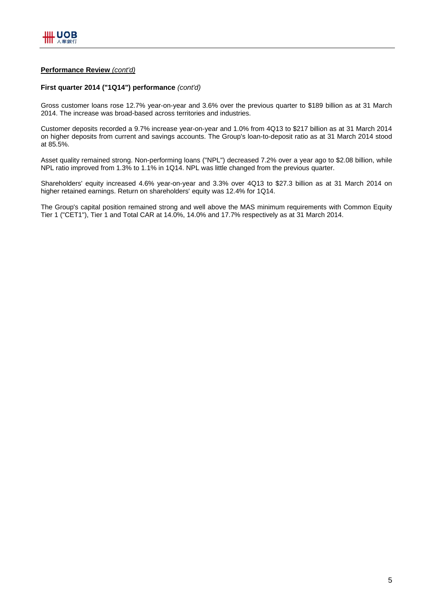### **Performance Review** *(cont'd)*

#### **First quarter 2014 ("1Q14") performance** *(cont'd)*

Gross customer loans rose 12.7% year-on-year and 3.6% over the previous quarter to \$189 billion as at 31 March 2014. The increase was broad-based across territories and industries.

Customer deposits recorded a 9.7% increase year-on-year and 1.0% from 4Q13 to \$217 billion as at 31 March 2014 on higher deposits from current and savings accounts. The Group's loan-to-deposit ratio as at 31 March 2014 stood at 85.5%.

Asset quality remained strong. Non-performing loans ("NPL") decreased 7.2% over a year ago to \$2.08 billion, while NPL ratio improved from 1.3% to 1.1% in 1Q14. NPL was little changed from the previous quarter.

Shareholders' equity increased 4.6% year-on-year and 3.3% over 4Q13 to \$27.3 billion as at 31 March 2014 on higher retained earnings. Return on shareholders' equity was 12.4% for 1Q14.

The Group's capital position remained strong and well above the MAS minimum requirements with Common Equity Tier 1 ("CET1"), Tier 1 and Total CAR at 14.0%, 14.0% and 17.7% respectively as at 31 March 2014.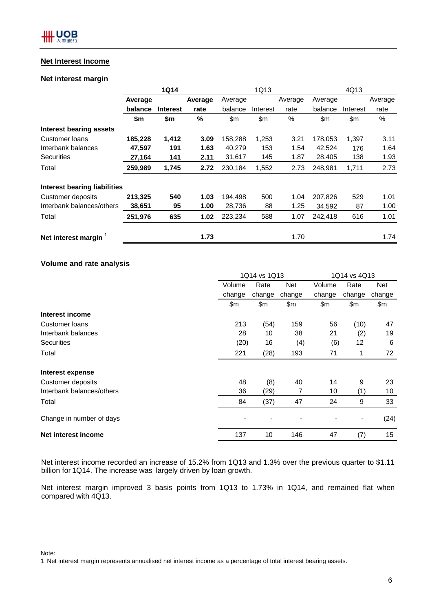### **Net Interest Income**

### **Net interest margin**

|                                |         | <b>1Q14</b>     |         |         | 1Q13     |         |         | 4Q13     |         |
|--------------------------------|---------|-----------------|---------|---------|----------|---------|---------|----------|---------|
|                                | Average |                 | Average | Average |          | Average | Average |          | Average |
|                                | balance | <b>Interest</b> | rate    | balance | Interest | rate    | balance | Interest | rate    |
|                                | \$m     | \$m             | $\%$    | \$m     | \$m      | $\%$    | \$m     | \$m      | %       |
| <b>Interest bearing assets</b> |         |                 |         |         |          |         |         |          |         |
| Customer loans                 | 185,228 | 1,412           | 3.09    | 158,288 | 1,253    | 3.21    | 178,053 | 1,397    | 3.11    |
| Interbank balances             | 47,597  | 191             | 1.63    | 40,279  | 153      | 1.54    | 42,524  | 176      | 1.64    |
| <b>Securities</b>              | 27,164  | 141             | 2.11    | 31,617  | 145      | 1.87    | 28,405  | 138      | 1.93    |
| Total                          | 259,989 | 1,745           | 2.72    | 230,184 | 1,552    | 2.73    | 248,981 | 1,711    | 2.73    |
| Interest bearing liabilities   |         |                 |         |         |          |         |         |          |         |
| Customer deposits              | 213,325 | 540             | 1.03    | 194,498 | 500      | 1.04    | 207,826 | 529      | 1.01    |
| Interbank balances/others      | 38,651  | 95              | 1.00    | 28,736  | 88       | 1.25    | 34,592  | 87       | 1.00    |
| Total                          | 251,976 | 635             | 1.02    | 223,234 | 588      | 1.07    | 242,418 | 616      | 1.01    |
| Net interest margin            |         |                 | 1.73    |         |          | 1.70    |         |          | 1.74    |

### **Volume and rate analysis**

|                           | 1Q14 vs 1Q13 |        |            | 1Q14 vs 4Q13 |                              |        |
|---------------------------|--------------|--------|------------|--------------|------------------------------|--------|
|                           | Volume       | Rate   | <b>Net</b> | Volume       | Rate                         | Net    |
|                           | change       | change | change     | change       | change                       | change |
|                           | \$m\$        | \$m    | \$m        | \$m          | \$m                          | \$m    |
| Interest income           |              |        |            |              |                              |        |
| Customer Ioans            | 213          | (54)   | 159        | 56           | (10)                         | 47     |
| Interbank balances        | 28           | 10     | 38         | 21           | (2)                          | 19     |
| <b>Securities</b>         | (20)         | 16     | (4)        | (6)          | 12                           | 6      |
| Total                     | 221          | (28)   | 193        | 71           | 1                            | 72     |
| Interest expense          |              |        |            |              |                              |        |
| <b>Customer deposits</b>  | 48           | (8)    | 40         | 14           | 9                            | 23     |
| Interbank balances/others | 36           | (29)   | 7          | 10           | (1)                          | 10     |
| Total                     | 84           | (37)   | 47         | 24           | 9                            | 33     |
| Change in number of days  |              |        |            |              | $\qquad \qquad \blacksquare$ | (24)   |
| Net interest income       | 137          | 10     | 146        | 47           | (7)                          | 15     |

Net interest income recorded an increase of 15.2% from 1Q13 and 1.3% over the previous quarter to \$1.11 billion for 1Q14. The increase was largely driven by loan growth.

Net interest margin improved 3 basis points from 1Q13 to 1.73% in 1Q14, and remained flat when compared with 4Q13.

Note:

1 Net interest margin represents annualised net interest income as a percentage of total interest bearing assets.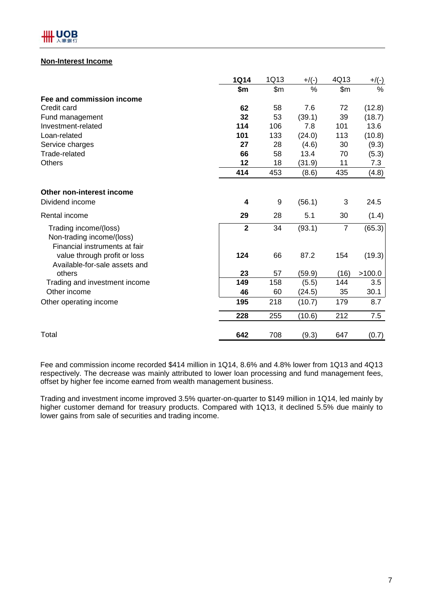

### **Non-Interest Income**

|                                                                                     | <b>1Q14</b>    | 1Q13           | $+$ /(-) | 4Q13           | $+/(-)$ |
|-------------------------------------------------------------------------------------|----------------|----------------|----------|----------------|---------|
|                                                                                     | \$m\$          | $\mathsf{S}$ m | %        | \$m\$          | $\%$    |
| Fee and commission income                                                           |                |                |          |                |         |
| Credit card                                                                         | 62             | 58             | 7.6      | 72             | (12.8)  |
| Fund management                                                                     | 32             | 53             | (39.1)   | 39             | (18.7)  |
| Investment-related                                                                  | 114            | 106            | 7.8      | 101            | 13.6    |
| Loan-related                                                                        | 101            | 133            | (24.0)   | 113            | (10.8)  |
| Service charges                                                                     | 27             | 28             | (4.6)    | 30             | (9.3)   |
| Trade-related                                                                       | 66             | 58             | 13.4     | 70             | (5.3)   |
| <b>Others</b>                                                                       | 12             | 18             | (31.9)   | 11             | 7.3     |
|                                                                                     | 414            | 453            | (8.6)    | 435            | (4.8)   |
| Other non-interest income                                                           |                |                |          |                |         |
| Dividend income                                                                     | 4              | 9              | (56.1)   | 3              | 24.5    |
| Rental income                                                                       | 29             | 28             | 5.1      | 30             | (1.4)   |
| Trading income/(loss)<br>Non-trading income/(loss)<br>Financial instruments at fair | $\overline{2}$ | 34             | (93.1)   | $\overline{7}$ | (65.3)  |
| value through profit or loss<br>Available-for-sale assets and                       | 124            | 66             | 87.2     | 154            | (19.3)  |
| others                                                                              | 23             | 57             | (59.9)   | (16)           | >100.0  |
| Trading and investment income                                                       | 149            | 158            | (5.5)    | 144            | 3.5     |
| Other income                                                                        | 46             | 60             | (24.5)   | 35             | 30.1    |
| Other operating income                                                              | 195            | 218            | (10.7)   | 179            | 8.7     |
|                                                                                     | 228            | 255            | (10.6)   | 212            | 7.5     |
| Total                                                                               | 642            | 708            | (9.3)    | 647            | (0.7)   |

Fee and commission income recorded \$414 million in 1Q14, 8.6% and 4.8% lower from 1Q13 and 4Q13 respectively. The decrease was mainly attributed to lower loan processing and fund management fees, offset by higher fee income earned from wealth management business.

Trading and investment income improved 3.5% quarter-on-quarter to \$149 million in 1Q14, led mainly by higher customer demand for treasury products. Compared with 1Q13, it declined 5.5% due mainly to lower gains from sale of securities and trading income.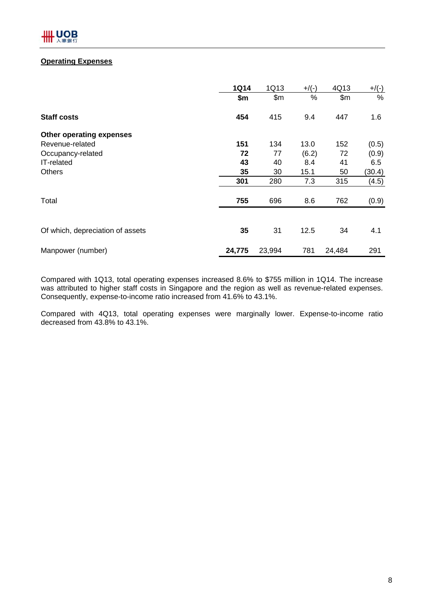### **Operating Expenses**

|                                  | <b>1Q14</b> | 1Q13   | $+$ /(-) | 4Q13   | $+/(-)$ |
|----------------------------------|-------------|--------|----------|--------|---------|
|                                  | \$m         | \$m\$  | %        | \$m\$  | %       |
| <b>Staff costs</b>               | 454         | 415    | 9.4      | 447    | 1.6     |
| Other operating expenses         |             |        |          |        |         |
| Revenue-related                  | 151         | 134    | 13.0     | 152    | (0.5)   |
| Occupancy-related                | 72          | 77     | (6.2)    | 72     | (0.9)   |
| IT-related                       | 43          | 40     | 8.4      | 41     | 6.5     |
| <b>Others</b>                    | 35          | 30     | 15.1     | 50     | (30.4)  |
|                                  | 301         | 280    | 7.3      | 315    | (4.5)   |
| Total                            | 755         | 696    | 8.6      | 762    | (0.9)   |
|                                  |             |        |          |        |         |
| Of which, depreciation of assets | 35          | 31     | 12.5     | 34     | 4.1     |
| Manpower (number)                | 24,775      | 23,994 | 781      | 24,484 | 291     |

Compared with 1Q13, total operating expenses increased 8.6% to \$755 million in 1Q14. The increase was attributed to higher staff costs in Singapore and the region as well as revenue-related expenses. Consequently, expense-to-income ratio increased from 41.6% to 43.1%.

Compared with 4Q13, total operating expenses were marginally lower. Expense-to-income ratio decreased from 43.8% to 43.1%.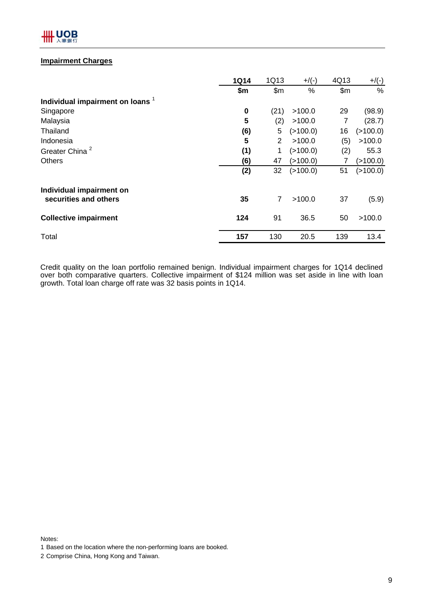

### **Impairment Charges**

|                                             | <b>1Q14</b> | 1Q13  | $+$ /(-)    | 4Q13  | $+/(-)$    |
|---------------------------------------------|-------------|-------|-------------|-------|------------|
|                                             | \$m         | \$m\$ | %           | \$m\$ | %          |
| Individual impairment on loans <sup>1</sup> |             |       |             |       |            |
| Singapore                                   | $\bf{0}$    | (21)  | >100.0      | 29    | (98.9)     |
| Malaysia                                    | 5           | (2)   | >100.0      | 7     | (28.7)     |
| Thailand                                    | (6)         | 5     | (>100.0)    | 16    | ( > 100.0) |
| Indonesia                                   | 5           | 2     | >100.0      | (5)   | >100.0     |
| Greater China <sup>2</sup>                  | (1)         | 1     | (>100.0)    | (2)   | 55.3       |
| <b>Others</b>                               | (6)         | 47    | (>100.0)    | 7     | (>100.0)   |
|                                             | (2)         | 32    | $($ >100.0) | 51    | (>100.0)   |
| Individual impairment on                    |             |       |             |       |            |
| securities and others                       | 35          | 7     | >100.0      | 37    | (5.9)      |
| <b>Collective impairment</b>                | 124         | 91    | 36.5        | 50    | >100.0     |
| Total                                       | 157         | 130   | 20.5        | 139   | 13.4       |

Credit quality on the loan portfolio remained benign. Individual impairment charges for 1Q14 declined over both comparative quarters. Collective impairment of \$124 million was set aside in line with loan growth. Total loan charge off rate was 32 basis points in 1Q14.

Notes:

<sup>1</sup> Based on the location where the non-performing loans are booked.

<sup>2</sup> Comprise China, Hong Kong and Taiwan.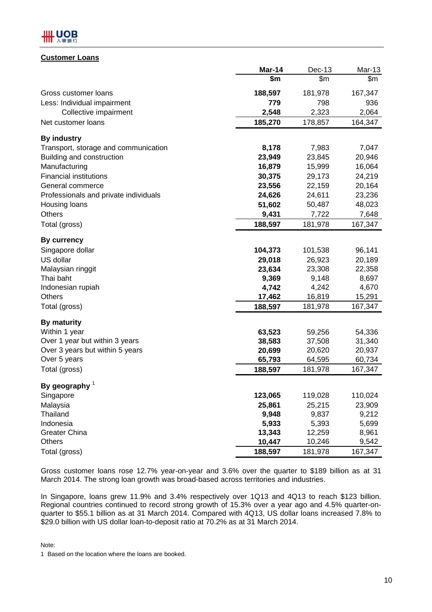

### **Customer Loans**

|                                       | Mar-14  | Dec-13  | Mar-13  |
|---------------------------------------|---------|---------|---------|
|                                       | \$m     | \$m\$   | \$m     |
| Gross customer loans                  | 188,597 | 181,978 | 167,347 |
| Less: Individual impairment           | 779     | 798     | 936     |
| Collective impairment                 | 2,548   | 2,323   | 2,064   |
| Net customer loans                    | 185,270 | 178,857 | 164,347 |
| <b>By industry</b>                    |         |         |         |
| Transport, storage and communication  | 8,178   | 7,983   | 7,047   |
| Building and construction             | 23,949  | 23,845  | 20,946  |
| Manufacturing                         | 16,879  | 15,999  | 16,064  |
| <b>Financial institutions</b>         | 30,375  | 29,173  | 24,219  |
| General commerce                      | 23,556  | 22,159  | 20,164  |
| Professionals and private individuals | 24,626  | 24,611  | 23,236  |
| Housing loans                         | 51,602  | 50,487  | 48,023  |
| Others                                | 9,431   | 7,722   | 7,648   |
| Total (gross)                         | 188,597 | 181,978 | 167,347 |
| By currency                           |         |         |         |
| Singapore dollar                      | 104,373 | 101,538 | 96,141  |
| US dollar                             | 29,018  | 26,923  | 20,189  |
| Malaysian ringgit                     | 23,634  | 23,308  | 22,358  |
| Thai baht                             | 9,369   | 9,148   | 8,697   |
| Indonesian rupiah                     | 4,742   | 4,242   | 4,670   |
| <b>Others</b>                         | 17,462  | 16,819  | 15,291  |
| Total (gross)                         | 188,597 | 181,978 | 167,347 |
| <b>By maturity</b>                    |         |         |         |
| Within 1 year                         | 63,523  | 59,256  | 54,336  |
| Over 1 year but within 3 years        | 38,583  | 37,508  | 31,340  |
| Over 3 years but within 5 years       | 20,699  | 20,620  | 20,937  |
| Over 5 years                          | 65,793  | 64,595  | 60,734  |
| Total (gross)                         | 188,597 | 181,978 | 167,347 |
| By geography $1$                      |         |         |         |
| Singapore                             | 123,065 | 119,028 | 110,024 |
| Malaysia                              | 25,861  | 25,215  | 23,909  |
| <b>Thailand</b>                       | 9,948   | 9,837   | 9,212   |
| Indonesia                             | 5,933   | 5,393   | 5,699   |
| <b>Greater China</b>                  | 13,343  | 12,259  | 8,961   |
| <b>Others</b>                         | 10,447  | 10,246  | 9,542   |
| Total (gross)                         | 188,597 | 181,978 | 167,347 |

Gross customer loans rose 12.7% year-on-year and 3.6% over the quarter to \$189 billion as at 31 March 2014. The strong loan growth was broad-based across territories and industries.

In Singapore, loans grew 11.9% and 3.4% respectively over 1Q13 and 4Q13 to reach \$123 billion. Regional countries continued to record strong growth of 15.3% over a year ago and 4.5% quarter-onquarter to \$55.1 billion as at 31 March 2014. Compared with 4Q13, US dollar loans increased 7.8% to \$29.0 billion with US dollar loan-to-deposit ratio at 70.2% as at 31 March 2014.

Note:

1 Based on the location where the loans are booked.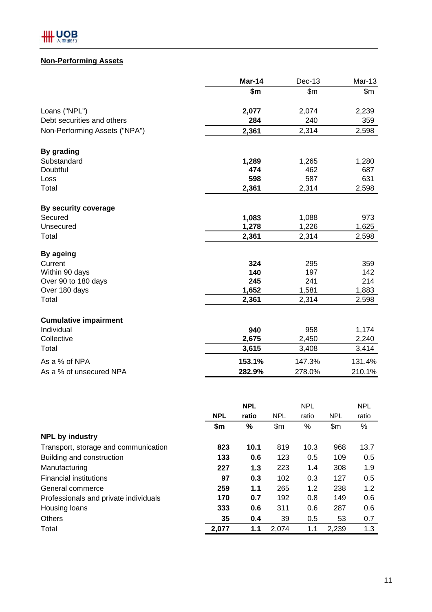# **Non-Performing Assets**

|                               | Mar-14 | $Dec-13$ | Mar-13 |
|-------------------------------|--------|----------|--------|
|                               | \$m    | \$m\$    | \$m\$  |
| Loans ("NPL")                 | 2,077  | 2,074    | 2,239  |
| Debt securities and others    | 284    | 240      | 359    |
| Non-Performing Assets ("NPA") | 2,361  | 2,314    | 2,598  |
| By grading                    |        |          |        |
| Substandard                   | 1,289  | 1,265    | 1,280  |
| Doubtful                      | 474    | 462      | 687    |
| Loss                          | 598    | 587      | 631    |
| Total                         | 2,361  | 2,314    | 2,598  |
| By security coverage          |        |          |        |
| Secured                       | 1,083  | 1,088    | 973    |
| Unsecured                     | 1,278  | 1,226    | 1,625  |
| Total                         | 2,361  | 2,314    | 2,598  |
| By ageing                     |        |          |        |
| Current                       | 324    | 295      | 359    |
| Within 90 days                | 140    | 197      | 142    |
| Over 90 to 180 days           | 245    | 241      | 214    |
| Over 180 days                 | 1,652  | 1,581    | 1,883  |
| Total                         | 2,361  | 2,314    | 2,598  |
| <b>Cumulative impairment</b>  |        |          |        |
| Individual                    | 940    | 958      | 1,174  |
| Collective                    | 2,675  | 2,450    | 2,240  |
| Total                         | 3,615  | 3,408    | 3,414  |
| As a % of NPA                 | 153.1% | 147.3%   | 131.4% |
| As a % of unsecured NPA       | 282.9% | 278.0%   | 210.1% |
|                               |        |          |        |

|                                       |            | <b>NPL</b> |            | <b>NPL</b> |               | <b>NPL</b> |
|---------------------------------------|------------|------------|------------|------------|---------------|------------|
|                                       | <b>NPL</b> | ratio      | <b>NPL</b> | ratio      | <b>NPL</b>    | ratio      |
|                                       | \$m        | %          | \$m\$      | %          | $\mathsf{Sm}$ | $\%$       |
| <b>NPL by industry</b>                |            |            |            |            |               |            |
| Transport, storage and communication  | 823        | 10.1       | 819        | 10.3       | 968           | 13.7       |
| Building and construction             | 133        | 0.6        | 123        | 0.5        | 109           | 0.5        |
| Manufacturing                         | 227        | 1.3        | 223        | 1.4        | 308           | 1.9        |
| <b>Financial institutions</b>         | 97         | 0.3        | 102        | 0.3        | 127           | 0.5        |
| General commerce                      | 259        | 1.1        | 265        | 1.2        | 238           | 1.2        |
| Professionals and private individuals | 170        | 0.7        | 192        | 0.8        | 149           | 0.6        |
| Housing loans                         | 333        | 0.6        | 311        | 0.6        | 287           | 0.6        |
| <b>Others</b>                         | 35         | 0.4        | 39         | 0.5        | 53            | 0.7        |
| Total                                 | 2,077      | 1.1        | 2,074      | 1.1        | 2,239         | 1.3        |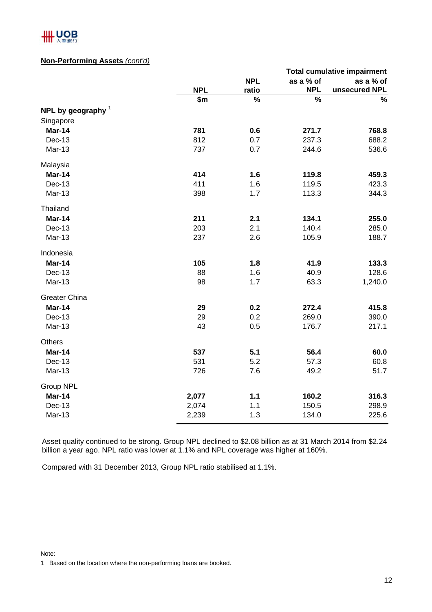

### **Non-Performing Assets** *(cont'd)*

|                      |            |            |            | <b>Total cumulative impairment</b> |
|----------------------|------------|------------|------------|------------------------------------|
|                      |            | <b>NPL</b> | as a % of  | as a % of                          |
|                      | <b>NPL</b> | ratio      | <b>NPL</b> | unsecured NPL                      |
|                      | \$m        | $\%$       | %          | $\%$                               |
| NPL by geography $1$ |            |            |            |                                    |
| Singapore            |            |            |            |                                    |
| Mar-14               | 781        | 0.6        | 271.7      | 768.8                              |
| <b>Dec-13</b>        | 812        | 0.7        | 237.3      | 688.2                              |
| Mar-13               | 737        | 0.7        | 244.6      | 536.6                              |
| Malaysia             |            |            |            |                                    |
| Mar-14               | 414        | 1.6        | 119.8      | 459.3                              |
| Dec-13               | 411        | 1.6        | 119.5      | 423.3                              |
| Mar-13               | 398        | 1.7        | 113.3      | 344.3                              |
| Thailand             |            |            |            |                                    |
| Mar-14               | 211        | 2.1        | 134.1      | 255.0                              |
| Dec-13               | 203        | 2.1        | 140.4      | 285.0                              |
| Mar-13               | 237        | 2.6        | 105.9      | 188.7                              |
| Indonesia            |            |            |            |                                    |
| Mar-14               | 105        | 1.8        | 41.9       | 133.3                              |
| Dec-13               | 88         | 1.6        | 40.9       | 128.6                              |
| Mar-13               | 98         | 1.7        | 63.3       | 1,240.0                            |
| <b>Greater China</b> |            |            |            |                                    |
| Mar-14               | 29         | 0.2        | 272.4      | 415.8                              |
| Dec-13               | 29         | 0.2        | 269.0      | 390.0                              |
| Mar-13               | 43         | 0.5        | 176.7      | 217.1                              |
| <b>Others</b>        |            |            |            |                                    |
| Mar-14               | 537        | 5.1        | 56.4       | 60.0                               |
| Dec-13               | 531        | 5.2        | 57.3       | 60.8                               |
| Mar-13               | 726        | 7.6        | 49.2       | 51.7                               |
| <b>Group NPL</b>     |            |            |            |                                    |
| <b>Mar-14</b>        | 2,077      | 1.1        | 160.2      | 316.3                              |
| <b>Dec-13</b>        | 2,074      | 1.1        | 150.5      | 298.9                              |
| Mar-13               | 2,239      | 1.3        | 134.0      | 225.6                              |

Asset quality continued to be strong. Group NPL declined to \$2.08 billion as at 31 March 2014 from \$2.24 billion a year ago. NPL ratio was lower at 1.1% and NPL coverage was higher at 160%.

Compared with 31 December 2013, Group NPL ratio stabilised at 1.1%.

Note:

1 Based on the location where the non-performing loans are booked.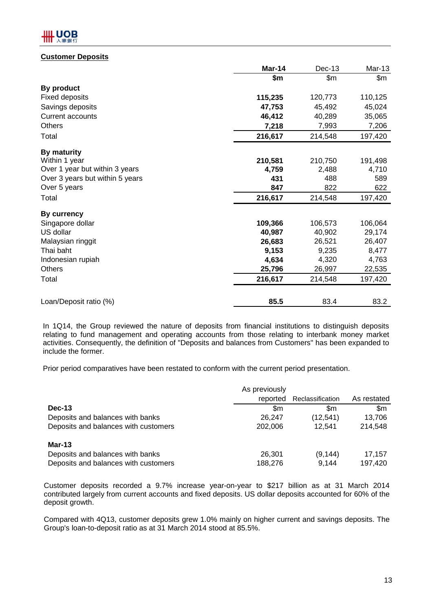### **Customer Deposits**

|                                 | Mar-14  | Dec-13  | Mar-13  |
|---------------------------------|---------|---------|---------|
|                                 | \$m     | \$m\$   | \$m     |
| By product                      |         |         |         |
| Fixed deposits                  | 115,235 | 120,773 | 110,125 |
| Savings deposits                | 47,753  | 45,492  | 45,024  |
| <b>Current accounts</b>         | 46,412  | 40,289  | 35,065  |
| <b>Others</b>                   | 7,218   | 7,993   | 7,206   |
| Total                           | 216,617 | 214,548 | 197,420 |
| By maturity                     |         |         |         |
| Within 1 year                   | 210,581 | 210,750 | 191,498 |
| Over 1 year but within 3 years  | 4,759   | 2,488   | 4,710   |
| Over 3 years but within 5 years | 431     | 488     | 589     |
| Over 5 years                    | 847     | 822     | 622     |
| Total                           | 216,617 | 214,548 | 197,420 |
| By currency                     |         |         |         |
| Singapore dollar                | 109,366 | 106,573 | 106,064 |
| US dollar                       | 40,987  | 40,902  | 29,174  |
| Malaysian ringgit               | 26,683  | 26,521  | 26,407  |
| Thai baht                       | 9,153   | 9,235   | 8,477   |
| Indonesian rupiah               | 4,634   | 4,320   | 4,763   |
| <b>Others</b>                   | 25,796  | 26,997  | 22,535  |
| Total                           | 216,617 | 214,548 | 197,420 |
|                                 |         |         |         |
| Loan/Deposit ratio (%)          | 85.5    | 83.4    | 83.2    |

In 1Q14, the Group reviewed the nature of deposits from financial institutions to distinguish deposits relating to fund management and operating accounts from those relating to interbank money market activities. Consequently, the definition of "Deposits and balances from Customers" has been expanded to include the former.

Prior period comparatives have been restated to conform with the current period presentation.

| As previously     |                   |                   |
|-------------------|-------------------|-------------------|
| reported          | Reclassification  | As restated       |
| \$m               | \$m               | \$m               |
| 26,247            | (12, 541)         | 13,706            |
| 202,006           | 12,541            | 214,548           |
|                   |                   |                   |
| 26.301<br>188,276 | (9, 144)<br>9,144 | 17,157<br>197,420 |
|                   |                   |                   |

Customer deposits recorded a 9.7% increase year-on-year to \$217 billion as at 31 March 2014 contributed largely from current accounts and fixed deposits. US dollar deposits accounted for 60% of the deposit growth.

Compared with 4Q13, customer deposits grew 1.0% mainly on higher current and savings deposits. The Group's loan-to-deposit ratio as at 31 March 2014 stood at 85.5%.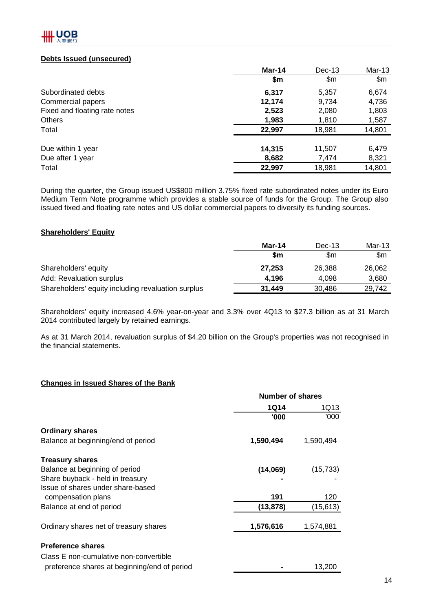

### **Debts Issued (unsecured)**

|                               | Mar-14 | $Dec-13$       | $Mar-13$      |
|-------------------------------|--------|----------------|---------------|
|                               | \$m    | $\mathsf{S}$ m | $\mathsf{Sm}$ |
| Subordinated debts            | 6,317  | 5,357          | 6,674         |
| Commercial papers             | 12,174 | 9,734          | 4,736         |
| Fixed and floating rate notes | 2,523  | 2,080          | 1,803         |
| <b>Others</b>                 | 1,983  | 1,810          | 1,587         |
| Total                         | 22,997 | 18,981         | 14,801        |
| Due within 1 year             | 14,315 | 11,507         | 6,479         |
| Due after 1 year              | 8,682  | 7,474          | 8,321         |
| Total                         | 22,997 | 18,981         | 14,801        |

During the quarter, the Group issued US\$800 million 3.75% fixed rate subordinated notes under its Euro Medium Term Note programme which provides a stable source of funds for the Group. The Group also issued fixed and floating rate notes and US dollar commercial papers to diversify its funding sources.

### **Shareholders' Equity**

|                                                    | Mar-14 | Dec-13 | Mar-13 |
|----------------------------------------------------|--------|--------|--------|
|                                                    | \$m    | \$m    | \$m    |
| Shareholders' equity                               | 27.253 | 26.388 | 26,062 |
| Add: Revaluation surplus                           | 4.196  | 4.098  | 3.680  |
| Shareholders' equity including revaluation surplus | 31,449 | 30.486 | 29.742 |

Shareholders' equity increased 4.6% year-on-year and 3.3% over 4Q13 to \$27.3 billion as at 31 March 2014 contributed largely by retained earnings.

As at 31 March 2014, revaluation surplus of \$4.20 billion on the Group's properties was not recognised in the financial statements.

### **Changes in Issued Shares of the Bank**

|                                              | Number of shares |           |
|----------------------------------------------|------------------|-----------|
|                                              | <b>1Q14</b>      | 1Q13      |
|                                              | '000             | '000      |
| <b>Ordinary shares</b>                       |                  |           |
| Balance at beginning/end of period           | 1,590,494        | 1,590,494 |
| <b>Treasury shares</b>                       |                  |           |
| Balance at beginning of period               | (14,069)         | (15, 733) |
| Share buyback - held in treasury             |                  |           |
| Issue of shares under share-based            |                  |           |
| compensation plans                           | 191              | 120       |
| Balance at end of period                     | (13, 878)        | (15, 613) |
| Ordinary shares net of treasury shares       | 1,576,616        | 1,574,881 |
| <b>Preference shares</b>                     |                  |           |
| Class E non-cumulative non-convertible       |                  |           |
| preference shares at beginning/end of period |                  | 13,200    |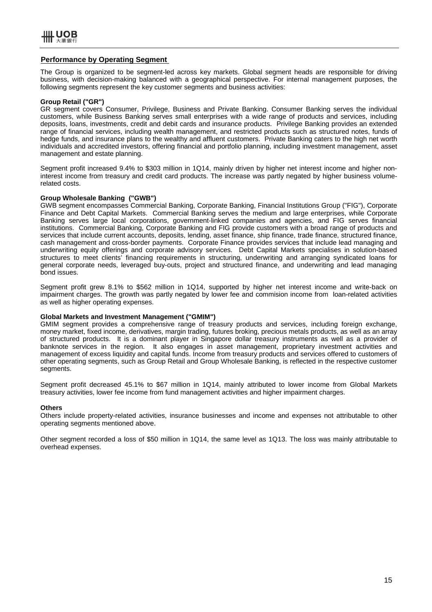#### **Performance by Operating Segment**

The Group is organized to be segment-led across key markets. Global segment heads are responsible for driving business, with decision-making balanced with a geographical perspective. For internal management purposes, the following segments represent the key customer segments and business activities:

#### **Group Retail ("GR")**

GR segment covers Consumer, Privilege, Business and Private Banking. Consumer Banking serves the individual customers, while Business Banking serves small enterprises with a wide range of products and services, including deposits, loans, investments, credit and debit cards and insurance products. Privilege Banking provides an extended range of financial services, including wealth management, and restricted products such as structured notes, funds of hedge funds, and insurance plans to the wealthy and affluent customers. Private Banking caters to the high net worth individuals and accredited investors, offering financial and portfolio planning, including investment management, asset management and estate planning.

Segment profit increased 9.4% to \$303 million in 1Q14, mainly driven by higher net interest income and higher noninterest income from treasury and credit card products. The increase was partly negated by higher business volumerelated costs.

#### **Group Wholesale Banking ("GWB")**

GWB segment encompasses Commercial Banking, Corporate Banking, Financial Institutions Group ("FIG"), Corporate Finance and Debt Capital Markets. Commercial Banking serves the medium and large enterprises, while Corporate Banking serves large local corporations, government-linked companies and agencies, and FIG serves financial institutions. Commercial Banking, Corporate Banking and FIG provide customers with a broad range of products and services that include current accounts, deposits, lending, asset finance, ship finance, trade finance, structured finance, cash management and cross-border payments. Corporate Finance provides services that include lead managing and underwriting equity offerings and corporate advisory services. Debt Capital Markets specialises in solution-based structures to meet clients' financing requirements in structuring, underwriting and arranging syndicated loans for general corporate needs, leveraged buy-outs, project and structured finance, and underwriting and lead managing bond issues.

Segment profit grew 8.1% to \$562 million in 1Q14, supported by higher net interest income and write-back on impairment charges. The growth was partly negated by lower fee and commision income from loan-related activities as well as higher operating expenses.

#### **Global Markets and Investment Management ("GMIM")**

GMIM segment provides a comprehensive range of treasury products and services, including foreign exchange, money market, fixed income, derivatives, margin trading, futures broking, precious metals products, as well as an array of structured products. It is a dominant player in Singapore dollar treasury instruments as well as a provider of banknote services in the region. It also engages in asset management, proprietary investment activities and management of excess liquidity and capital funds. Income from treasury products and services offered to customers of other operating segments, such as Group Retail and Group Wholesale Banking, is reflected in the respective customer segments.

Segment profit decreased 45.1% to \$67 million in 1Q14, mainly attributed to lower income from Global Markets treasury activities, lower fee income from fund management activities and higher impairment charges.

#### **Others**

Others include property-related activities, insurance businesses and income and expenses not attributable to other operating segments mentioned above.

Other segment recorded a loss of \$50 million in 1Q14, the same level as 1Q13. The loss was mainly attributable to overhead expenses.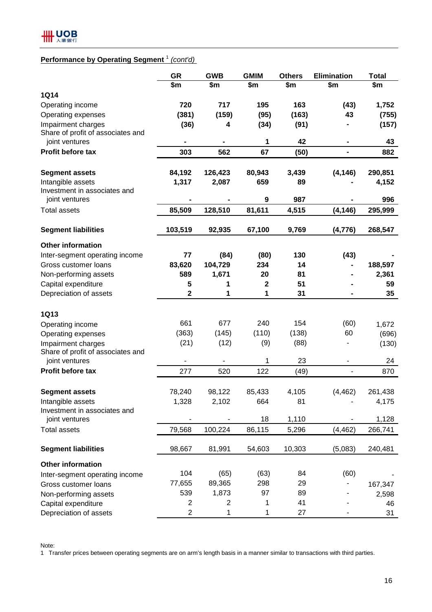# **Performance by Operating Segment** <sup>1</sup> *(cont'd)*

|                                   | <b>GR</b>               | <b>GWB</b>     | <b>GMIM</b> | <b>Others</b> | <b>Elimination</b> | <b>Total</b> |
|-----------------------------------|-------------------------|----------------|-------------|---------------|--------------------|--------------|
|                                   | \$m                     | \$m            | \$m         | \$m           | \$m                | \$m          |
| <b>1Q14</b>                       |                         |                |             |               |                    |              |
| Operating income                  | 720                     | 717            | 195         | 163           | (43)               | 1,752        |
| Operating expenses                | (381)                   | (159)          | (95)        | (163)         | 43                 | (755)        |
| Impairment charges                | (36)                    | 4              | (34)        | (91)          |                    | (157)        |
| Share of profit of associates and |                         |                |             |               |                    |              |
| joint ventures                    | ۰                       |                | 1           | 42            | $\blacksquare$     | 43           |
| Profit before tax                 | 303                     | 562            | 67          | (50)          | $\blacksquare$     | 882          |
| <b>Segment assets</b>             | 84,192                  | 126,423        | 80,943      | 3,439         | (4, 146)           | 290,851      |
| Intangible assets                 | 1,317                   | 2,087          | 659         | 89            |                    | 4,152        |
| Investment in associates and      |                         |                |             |               |                    |              |
| joint ventures                    |                         |                | 9           | 987           |                    | 996          |
| <b>Total assets</b>               | 85,509                  | 128,510        | 81,611      | 4,515         | (4, 146)           | 295,999      |
| <b>Segment liabilities</b>        | 103,519                 | 92,935         | 67,100      | 9,769         | (4, 776)           | 268,547      |
| <b>Other information</b>          |                         |                |             |               |                    |              |
| Inter-segment operating income    | 77                      | (84)           | (80)        | 130           | (43)               |              |
| Gross customer loans              | 83,620                  | 104,729        | 234         | 14            |                    | 188,597      |
| Non-performing assets             | 589                     | 1,671          | 20          | 81            |                    | 2,361        |
| Capital expenditure               | 5                       | 1              | 2           | 51            |                    | 59           |
| Depreciation of assets            | $\mathbf 2$             | 1              | 1           | 31            |                    | 35           |
| <b>1Q13</b>                       |                         |                |             |               |                    |              |
| Operating income                  | 661                     | 677            | 240         | 154           | (60)               | 1,672        |
| Operating expenses                | (363)                   | (145)          | (110)       | (138)         | 60                 | (696)        |
| Impairment charges                | (21)                    | (12)           | (9)         | (88)          | ÷                  | (130)        |
| Share of profit of associates and |                         |                |             |               |                    |              |
| joint ventures                    |                         |                | 1           | 23            |                    | 24           |
| Profit before tax                 | 277                     | 520            | 122         | (49)          | $\blacksquare$     | 870          |
|                                   |                         |                |             |               |                    |              |
| <b>Segment assets</b>             | 78,240                  | 98,122         | 85,433      | 4,105         | (4, 462)           | 261,438      |
| Intangible assets                 | 1,328                   | 2,102          | 664         | 81            |                    | 4,175        |
| Investment in associates and      |                         |                |             |               |                    |              |
| joint ventures                    |                         |                | 18          | 1,110         |                    | 1,128        |
| <b>Total assets</b>               | 79,568                  | 100,224        | 86,115      | 5,296         | (4, 462)           | 266,741      |
| <b>Segment liabilities</b>        | 98,667                  | 81,991         | 54,603      | 10,303        | (5,083)            | 240,481      |
| <b>Other information</b>          |                         |                |             |               |                    |              |
| Inter-segment operating income    | 104                     | (65)           | (63)        | 84            | (60)               |              |
| Gross customer loans              | 77,655                  | 89,365         | 298         | 29            |                    | 167,347      |
| Non-performing assets             | 539                     | 1,873          | 97          | 89            |                    | 2,598        |
| Capital expenditure               | $\overline{\mathbf{c}}$ | $\overline{c}$ | 1           | 41            |                    | 46           |
| Depreciation of assets            | 2                       | 1              | 1           | 27            |                    | 31           |

Note:

1 Transfer prices between operating segments are on arm's length basis in a manner similar to transactions with third parties.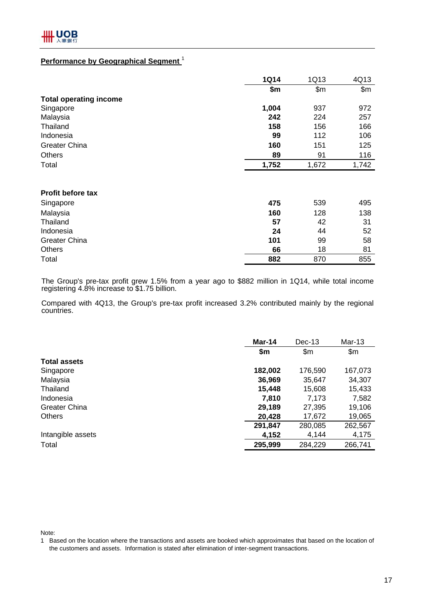### **Performance by Geographical Segment** <sup>1</sup>

|                               | <b>1Q14</b> | 1Q13  | 4Q13  |
|-------------------------------|-------------|-------|-------|
|                               | \$m         | \$m\$ | \$m\$ |
| <b>Total operating income</b> |             |       |       |
| Singapore                     | 1,004       | 937   | 972   |
| Malaysia                      | 242         | 224   | 257   |
| Thailand                      | 158         | 156   | 166   |
| Indonesia                     | 99          | 112   | 106   |
| <b>Greater China</b>          | 160         | 151   | 125   |
| <b>Others</b>                 | 89          | 91    | 116   |
| Total                         | 1,752       | 1,672 | 1,742 |
|                               |             |       |       |
| <b>Profit before tax</b>      |             |       |       |
| Singapore                     | 475         | 539   | 495   |
| Malaysia                      | 160         | 128   | 138   |
| Thailand                      | 57          | 42    | 31    |
| Indonesia                     | 24          | 44    | 52    |
| <b>Greater China</b>          | 101         | 99    | 58    |
| <b>Others</b>                 | 66          | 18    | 81    |
| Total                         | 882         | 870   | 855   |

The Group's pre-tax profit grew 1.5% from a year ago to \$882 million in 1Q14, while total income registering 4.8% increase to \$1.75 billion.

Compared with 4Q13, the Group's pre-tax profit increased 3.2% contributed mainly by the regional countries.

|                      | Dec-13<br>Mar-14 |         | Mar-13  |  |
|----------------------|------------------|---------|---------|--|
|                      | \$m              | \$m\$   | \$m\$   |  |
| <b>Total assets</b>  |                  |         |         |  |
| Singapore            | 182,002          | 176,590 | 167,073 |  |
| Malaysia             | 36,969           | 35,647  | 34,307  |  |
| Thailand             | 15,448           | 15,608  | 15,433  |  |
| Indonesia            | 7,810            | 7,173   | 7,582   |  |
| <b>Greater China</b> | 29,189           | 27,395  | 19,106  |  |
| <b>Others</b>        | 20,428           | 17,672  | 19,065  |  |
|                      | 291,847          | 280,085 | 262,567 |  |
| Intangible assets    | 4,152            | 4,144   | 4,175   |  |
| Total                | 295,999          | 284,229 | 266,741 |  |

Note:

<sup>1</sup> Based on the location where the transactions and assets are booked which approximates that based on the location of the customers and assets. Information is stated after elimination of inter-segment transactions.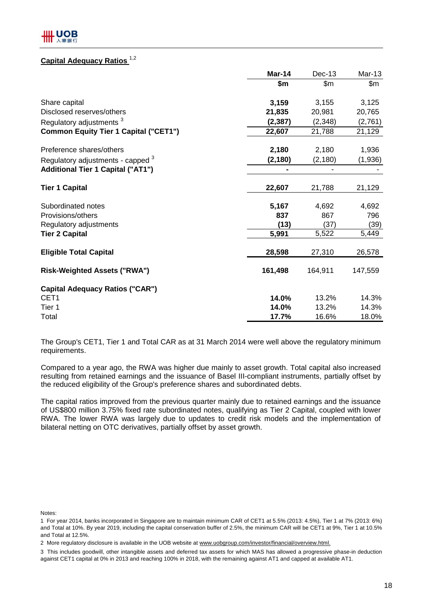# **Capital Adequacy Ratios**<sup>1,2</sup>

|                                              | Mar-14   | Dec-13   | $Mar-13$ |
|----------------------------------------------|----------|----------|----------|
|                                              | \$m      | \$m\$    | \$m\$    |
| Share capital                                | 3,159    | 3,155    | 3,125    |
| Disclosed reserves/others                    | 21,835   | 20,981   | 20,765   |
| Regulatory adjustments <sup>3</sup>          | (2, 387) | (2, 348) | (2,761)  |
| <b>Common Equity Tier 1 Capital ("CET1")</b> | 22,607   | 21,788   | 21,129   |
| Preference shares/others                     | 2,180    | 2,180    | 1,936    |
| Regulatory adjustments - capped <sup>3</sup> | (2, 180) | (2, 180) | (1,936)  |
| <b>Additional Tier 1 Capital ("AT1")</b>     |          |          |          |
| <b>Tier 1 Capital</b>                        | 22,607   | 21,788   | 21,129   |
| Subordinated notes                           | 5,167    | 4,692    | 4,692    |
| Provisions/others                            | 837      | 867      | 796      |
| Regulatory adjustments                       | (13)     | (37)     | (39)     |
| <b>Tier 2 Capital</b>                        | 5,991    | 5,522    | 5,449    |
| <b>Eligible Total Capital</b>                | 28,598   | 27,310   | 26,578   |
| <b>Risk-Weighted Assets ("RWA")</b>          | 161,498  | 164,911  | 147,559  |
| <b>Capital Adequacy Ratios ("CAR")</b>       |          |          |          |
| CET <sub>1</sub>                             | 14.0%    | 13.2%    | 14.3%    |
| Tier 1                                       | 14.0%    | 13.2%    | 14.3%    |
| Total                                        | 17.7%    | 16.6%    | 18.0%    |

The Group's CET1, Tier 1 and Total CAR as at 31 March 2014 were well above the regulatory minimum requirements.

Compared to a year ago, the RWA was higher due mainly to asset growth. Total capital also increased resulting from retained earnings and the issuance of Basel III-compliant instruments, partially offset by the reduced eligibility of the Group's preference shares and subordinated debts.

The capital ratios improved from the previous quarter mainly due to retained earnings and the issuance of US\$800 million 3.75% fixed rate subordinated notes, qualifying as Tier 2 Capital, coupled with lower RWA. The lower RWA was largely due to updates to credit risk models and the implementation of bilateral netting on OTC derivatives, partially offset by asset growth.

Notes:

<sup>1</sup> For year 2014, banks incorporated in Singapore are to maintain minimum CAR of CET1 at 5.5% (2013: 4.5%), Tier 1 at 7% (2013: 6%) and Total at 10%. By year 2019, including the capital conservation buffer of 2.5%, the minimum CAR will be CET1 at 9%, Tier 1 at 10.5% and Total at 12.5%.

<sup>2</sup> More regulatory disclosure is available in the UOB website at www.uobgroup.com/investor/financial/overview.html.

<sup>3</sup> This includes goodwill, other intangible assets and deferred tax assets for which MAS has allowed a progressive phase-in deduction against CET1 capital at 0% in 2013 and reaching 100% in 2018, with the remaining against AT1 and capped at available AT1.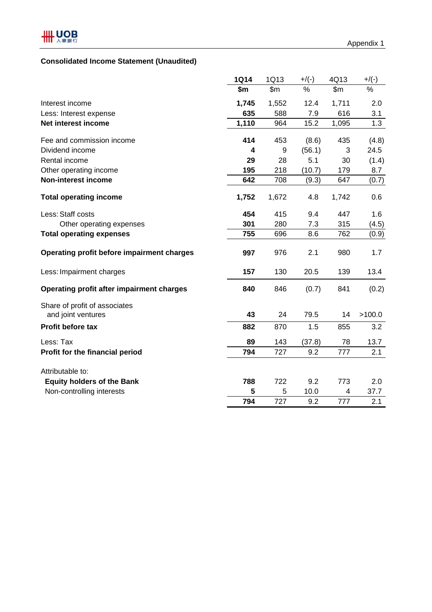# **Consolidated Income Statement (Unaudited)**

|                                            | <b>1Q14</b> | 1Q13          | $+$ /(-) | 4Q13          | $+$ /(-) |
|--------------------------------------------|-------------|---------------|----------|---------------|----------|
|                                            | \$m         | $\mathsf{Sm}$ | %        | $\mathsf{Sm}$ | %        |
| Interest income                            | 1,745       | 1,552         | 12.4     | 1,711         | 2.0      |
| Less: Interest expense                     | 635         | 588           | 7.9      | 616           | 3.1      |
| Net interest income                        | 1,110       | 964           | 15.2     | 1,095         | 1.3      |
| Fee and commission income                  | 414         | 453           | (8.6)    | 435           | (4.8)    |
| Dividend income                            | 4           | 9             | (56.1)   | 3             | 24.5     |
| Rental income                              | 29          | 28            | 5.1      | 30            | (1.4)    |
| Other operating income                     | 195         | 218           | (10.7)   | 179           | 8.7      |
| <b>Non-interest income</b>                 | 642         | 708           | (9.3)    | 647           | (0.7)    |
| <b>Total operating income</b>              | 1,752       | 1,672         | 4.8      | 1,742         | 0.6      |
| Less: Staff costs                          | 454         | 415           | 9.4      | 447           | 1.6      |
| Other operating expenses                   | 301         | 280           | 7.3      | 315           | (4.5)    |
| <b>Total operating expenses</b>            | 755         | 696           | 8.6      | 762           | (0.9)    |
| Operating profit before impairment charges | 997         | 976           | 2.1      | 980           | 1.7      |
| Less: Impairment charges                   | 157         | 130           | 20.5     | 139           | 13.4     |
| Operating profit after impairment charges  | 840         | 846           | (0.7)    | 841           | (0.2)    |
| Share of profit of associates              |             |               |          |               |          |
| and joint ventures                         | 43          | 24            | 79.5     | 14            | >100.0   |
| Profit before tax                          | 882         | 870           | 1.5      | 855           | 3.2      |
| Less: Tax                                  | 89          | 143           | (37.8)   | 78            | 13.7     |
| Profit for the financial period            | 794         | 727           | 9.2      | 777           | 2.1      |
| Attributable to:                           |             |               |          |               |          |
| <b>Equity holders of the Bank</b>          | 788         | 722           | 9.2      | 773           | 2.0      |
| Non-controlling interests                  | 5           | 5             | 10.0     | 4             | 37.7     |
|                                            | 794         | 727           | 9.2      | 777           | 2.1      |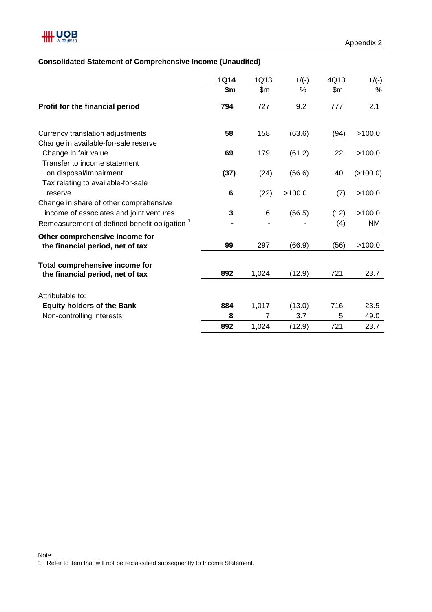### **Consolidated Statement of Comprehensive Income (Unaudited)**

|                                                                                                                                               | <b>1Q14</b> | 1Q13           | $+/(-)$ | 4Q13        | $+/(-)$             |
|-----------------------------------------------------------------------------------------------------------------------------------------------|-------------|----------------|---------|-------------|---------------------|
|                                                                                                                                               | \$m         | \$m\$          | $\%$    | \$m\$       | $\frac{0}{0}$       |
| Profit for the financial period                                                                                                               | 794         | 727            | 9.2     | 777         | 2.1                 |
| Currency translation adjustments                                                                                                              | 58          | 158            | (63.6)  | (94)        | >100.0              |
| Change in available-for-sale reserve                                                                                                          |             |                |         |             |                     |
| Change in fair value<br>Transfer to income statement                                                                                          | 69          | 179            | (61.2)  | 22          | >100.0              |
| on disposal/impairment<br>Tax relating to available-for-sale                                                                                  | (37)        | (24)           | (56.6)  | 40          | (>100.0)            |
| reserve                                                                                                                                       | 6           | (22)           | >100.0  | (7)         | >100.0              |
| Change in share of other comprehensive<br>income of associates and joint ventures<br>Remeasurement of defined benefit obligation <sup>1</sup> | 3           | 6              | (56.5)  | (12)<br>(4) | >100.0<br><b>NM</b> |
| Other comprehensive income for<br>the financial period, net of tax                                                                            | 99          | 297            | (66.9)  | (56)        | >100.0              |
| Total comprehensive income for<br>the financial period, net of tax                                                                            | 892         | 1,024          | (12.9)  | 721         | 23.7                |
| Attributable to:                                                                                                                              |             |                |         |             |                     |
| <b>Equity holders of the Bank</b>                                                                                                             | 884         | 1,017          | (13.0)  | 716         | 23.5                |
| Non-controlling interests                                                                                                                     | 8           | $\overline{7}$ | 3.7     | 5           | 49.0                |
|                                                                                                                                               | 892         | 1,024          | (12.9)  | 721         | 23.7                |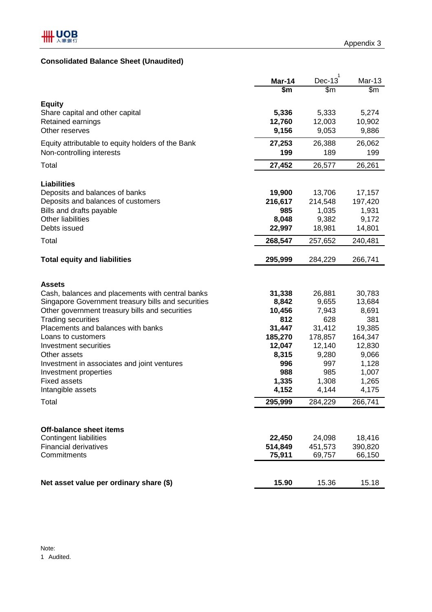# **Consolidated Balance Sheet (Unaudited)**

|                                                      | Mar-14         | $Dec-13$         | Mar-13         |
|------------------------------------------------------|----------------|------------------|----------------|
|                                                      | \$m            | \$m\$            | \$m            |
| <b>Equity</b>                                        |                |                  |                |
| Share capital and other capital                      | 5,336          | 5,333            | 5,274          |
| Retained earnings                                    | 12,760         | 12,003           | 10,902         |
| Other reserves                                       | 9,156          | 9,053            | 9,886          |
| Equity attributable to equity holders of the Bank    | 27,253         | 26,388           | 26,062         |
| Non-controlling interests                            | 199            | 189              | 199            |
| Total                                                | 27,452         | 26,577           | 26,261         |
|                                                      |                |                  |                |
| <b>Liabilities</b>                                   |                |                  |                |
| Deposits and balances of banks                       | 19,900         | 13,706           | 17,157         |
| Deposits and balances of customers                   | 216,617<br>985 | 214,548<br>1,035 | 197,420        |
| Bills and drafts payable<br><b>Other liabilities</b> | 8,048          | 9,382            | 1,931<br>9,172 |
| Debts issued                                         | 22,997         | 18,981           | 14,801         |
| Total                                                | 268,547        | 257,652          | 240,481        |
|                                                      |                |                  |                |
| <b>Total equity and liabilities</b>                  | 295,999        | 284,229          | 266,741        |
|                                                      |                |                  |                |
| <b>Assets</b>                                        |                |                  |                |
| Cash, balances and placements with central banks     | 31,338         | 26,881           | 30,783         |
| Singapore Government treasury bills and securities   | 8,842          | 9,655            | 13,684         |
| Other government treasury bills and securities       | 10,456         | 7,943            | 8,691          |
| <b>Trading securities</b>                            | 812            | 628              | 381            |
| Placements and balances with banks                   | 31,447         | 31,412           | 19,385         |
| Loans to customers                                   | 185,270        | 178,857          | 164,347        |
| Investment securities                                | 12,047         | 12,140           | 12,830         |
| Other assets                                         | 8,315          | 9,280            | 9,066          |
| Investment in associates and joint ventures          | 996            | 997              | 1,128          |
| Investment properties                                | 988            | 985              | 1,007          |
| <b>Fixed assets</b>                                  | 1,335          | 1,308            | 1,265          |
| Intangible assets                                    | 4,152          | 4,144            | 4,175          |
| Total                                                | 295,999        | 284,229          | 266,741        |
|                                                      |                |                  |                |
| Off-balance sheet items                              |                |                  |                |
| <b>Contingent liabilities</b>                        | 22,450         | 24,098           | 18,416         |
| <b>Financial derivatives</b>                         | 514,849        | 451,573          | 390,820        |
| Commitments                                          | 75,911         | 69,757           | 66,150         |
|                                                      |                |                  |                |
|                                                      |                |                  |                |
| Net asset value per ordinary share (\$)              | 15.90          | 15.36            | 15.18          |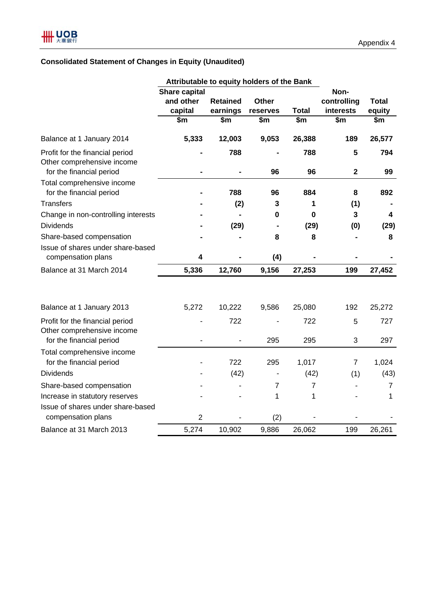# **Consolidated Statement of Changes in Equity (Unaudited)**

|                                                                                           | Attributable to equity holders of the Bank   |                             |                          |                  |                                  |                        |
|-------------------------------------------------------------------------------------------|----------------------------------------------|-----------------------------|--------------------------|------------------|----------------------------------|------------------------|
|                                                                                           | <b>Share capital</b><br>and other<br>capital | <b>Retained</b><br>earnings | <b>Other</b><br>reserves | <b>Total</b>     | Non-<br>controlling<br>interests | <b>Total</b><br>equity |
|                                                                                           | \$m                                          | \$m                         | \$m                      | $\overline{\$m}$ | \$m                              | $\overline{\$m}$       |
| Balance at 1 January 2014                                                                 | 5,333                                        | 12,003                      | 9,053                    | 26,388           | 189                              | 26,577                 |
| Profit for the financial period<br>Other comprehensive income<br>for the financial period |                                              | 788                         | 96                       | 788<br>96        | 5<br>$\mathbf 2$                 | 794<br>99              |
| Total comprehensive income<br>for the financial period                                    |                                              | 788                         | 96                       | 884              | 8                                | 892                    |
| <b>Transfers</b>                                                                          |                                              | (2)                         | 3                        | 1                | (1)                              |                        |
| Change in non-controlling interests                                                       |                                              |                             | $\mathbf 0$              | $\mathbf 0$      | 3                                | 4                      |
| <b>Dividends</b>                                                                          |                                              | (29)                        |                          | (29)             | (0)                              | (29)                   |
| Share-based compensation                                                                  |                                              |                             | 8                        | 8                |                                  | 8                      |
| Issue of shares under share-based<br>compensation plans                                   | 4                                            |                             | (4)                      |                  |                                  |                        |
| Balance at 31 March 2014                                                                  | 5,336                                        | 12,760                      | 9,156                    | 27,253           | 199                              | 27,452                 |
| Balance at 1 January 2013                                                                 | 5,272                                        | 10,222                      | 9,586                    | 25,080           | 192                              | 25,272                 |
| Profit for the financial period<br>Other comprehensive income                             |                                              | 722                         |                          | 722              | 5                                | 727                    |
| for the financial period                                                                  |                                              |                             | 295                      | 295              | 3                                | 297                    |
| Total comprehensive income<br>for the financial period                                    |                                              | 722                         | 295                      | 1,017            | 7                                | 1,024                  |
| <b>Dividends</b>                                                                          |                                              | (42)                        |                          | (42)             | (1)                              | (43)                   |
| Share-based compensation                                                                  |                                              |                             | $\overline{7}$           | $\overline{7}$   |                                  | 7                      |
| Increase in statutory reserves                                                            |                                              |                             | 1                        | 1                |                                  | 1                      |
| Issue of shares under share-based<br>compensation plans                                   | $\overline{2}$                               |                             | (2)                      |                  |                                  |                        |
| Balance at 31 March 2013                                                                  | 5,274                                        | 10,902                      | 9,886                    | 26,062           | 199                              | 26,261                 |
|                                                                                           |                                              |                             |                          |                  |                                  |                        |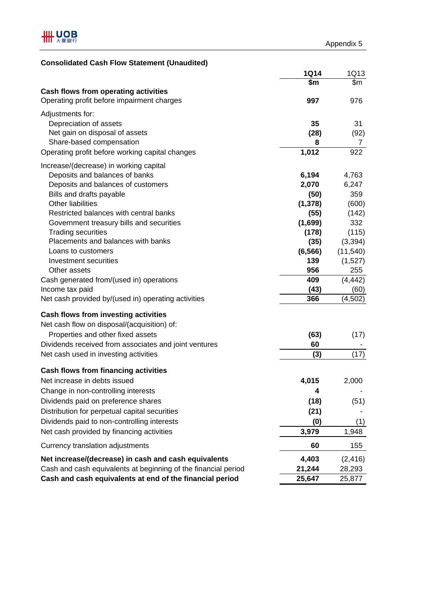# **Consolidated Cash Flow Statement (Unaudited)**

|                                                                | <b>1Q14</b> | 1Q13      |
|----------------------------------------------------------------|-------------|-----------|
|                                                                | \$m         | \$m       |
| <b>Cash flows from operating activities</b>                    |             |           |
| Operating profit before impairment charges                     | 997         | 976       |
| Adjustments for:                                               |             |           |
| Depreciation of assets                                         | 35          | 31        |
| Net gain on disposal of assets                                 | (28)        | (92)      |
| Share-based compensation                                       | 8           | 7         |
| Operating profit before working capital changes                | 1,012       | 922       |
| Increase/(decrease) in working capital                         |             |           |
| Deposits and balances of banks                                 | 6,194       | 4,763     |
| Deposits and balances of customers                             | 2,070       | 6,247     |
| Bills and drafts payable                                       | (50)        | 359       |
| <b>Other liabilities</b>                                       | (1, 378)    | (600)     |
| Restricted balances with central banks                         | (55)        | (142)     |
| Government treasury bills and securities                       | (1,699)     | 332       |
| <b>Trading securities</b>                                      | (178)       | (115)     |
| Placements and balances with banks                             | (35)        | (3, 394)  |
| Loans to customers                                             | (6, 566)    | (11, 540) |
| Investment securities                                          | 139         | (1,527)   |
| Other assets                                                   | 956         | 255       |
| Cash generated from/(used in) operations                       | 409         | (4, 442)  |
| Income tax paid                                                | (43)        | (60)      |
| Net cash provided by/(used in) operating activities            | 366         | (4, 502)  |
| <b>Cash flows from investing activities</b>                    |             |           |
| Net cash flow on disposal/(acquisition) of:                    |             |           |
| Properties and other fixed assets                              | (63)        | (17)      |
| Dividends received from associates and joint ventures          | 60          |           |
| Net cash used in investing activities                          | (3)         | (17)      |
|                                                                |             |           |
| <b>Cash flows from financing activities</b>                    |             |           |
| Net increase in debts issued                                   | 4,015       | 2,000     |
| Change in non-controlling interests                            | 4           |           |
| Dividends paid on preference shares                            | (18)        | (51)      |
| Distribution for perpetual capital securities                  | (21)        |           |
| Dividends paid to non-controlling interests                    | (0)         | (1)       |
| Net cash provided by financing activities                      | 3,979       | 1,948     |
| Currency translation adjustments                               | 60          | 155       |
| Net increase/(decrease) in cash and cash equivalents           | 4,403       | (2, 416)  |
| Cash and cash equivalents at beginning of the financial period | 21,244      | 28,293    |
| Cash and cash equivalents at end of the financial period       | 25,647      | 25,877    |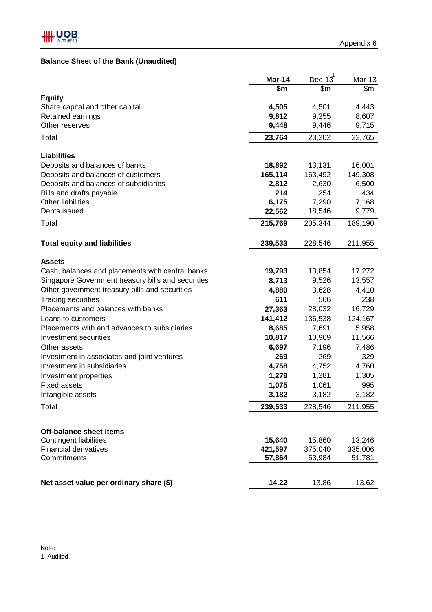# **Balance Sheet of the Bank (Unaudited)**

|                                                                                                        | Mar-14            | Dec- $13^1$       | <b>Mar-13</b>     |
|--------------------------------------------------------------------------------------------------------|-------------------|-------------------|-------------------|
|                                                                                                        | $\frac{2}{3}$     | \$m               | $\overline{\$m}$  |
| <b>Equity</b>                                                                                          |                   |                   |                   |
| Share capital and other capital                                                                        | 4,505             | 4,501             | 4,443             |
| Retained earnings                                                                                      | 9,812             | 9,255             | 8,607             |
| Other reserves                                                                                         | 9,448             | 9,446             | 9,715             |
| Total                                                                                                  | 23,764            | 23,202            | 22,765            |
|                                                                                                        |                   |                   |                   |
| <b>Liabilities</b>                                                                                     |                   |                   |                   |
| Deposits and balances of banks<br>Deposits and balances of customers                                   | 18,892<br>165,114 | 13,131<br>163,492 | 16,001<br>149,308 |
| Deposits and balances of subsidiaries                                                                  | 2,812             | 2,630             | 6,500             |
| Bills and drafts payable                                                                               | 214               | 254               | 434               |
| <b>Other liabilities</b>                                                                               | 6,175             | 7,290             | 7,168             |
| Debts issued                                                                                           | 22,562            | 18,546            | 9,779             |
| Total                                                                                                  | 215,769           | 205,344           | 189,190           |
|                                                                                                        |                   |                   |                   |
| <b>Total equity and liabilities</b>                                                                    | 239,533           | 228,546           | 211,955           |
|                                                                                                        |                   |                   |                   |
| <b>Assets</b>                                                                                          |                   |                   |                   |
| Cash, balances and placements with central banks<br>Singapore Government treasury bills and securities | 19,793            | 13,854            | 17,272            |
| Other government treasury bills and securities                                                         | 8,713<br>4,880    | 9,526<br>3,628    | 13,557<br>4,410   |
| <b>Trading securities</b>                                                                              | 611               | 566               | 238               |
| Placements and balances with banks                                                                     | 27,363            | 28,032            | 16,729            |
| Loans to customers                                                                                     | 141,412           | 136,538           | 124,167           |
| Placements with and advances to subsidiaries                                                           | 8,685             | 7,691             | 5,958             |
| Investment securities                                                                                  | 10,817            | 10,969            | 11,566            |
| Other assets                                                                                           | 6,697             | 7,196             | 7,486             |
| Investment in associates and joint ventures                                                            | 269               | 269               | 329               |
| Investment in subsidiaries                                                                             | 4,758             | 4,752             | 4,760             |
| Investment properties                                                                                  | 1,279             | 1,281             | 1,305             |
| <b>Fixed assets</b>                                                                                    | 1,075             | 1,061             | 995               |
| Intangible assets                                                                                      | 3,182             | 3,182             | 3,182             |
| Total                                                                                                  | 239,533           | 228,546           | 211,955           |
|                                                                                                        |                   |                   |                   |
| <b>Off-balance sheet items</b>                                                                         |                   |                   |                   |
| <b>Contingent liabilities</b>                                                                          | 15,640            | 15,860            | 13,246            |
| <b>Financial derivatives</b>                                                                           | 421,597           | 375,040           | 335,006           |
| Commitments                                                                                            | 57,864            | 53,984            | 51,781            |
|                                                                                                        |                   |                   |                   |
| Net asset value per ordinary share (\$)                                                                | 14.22             | 13.86             | 13.62             |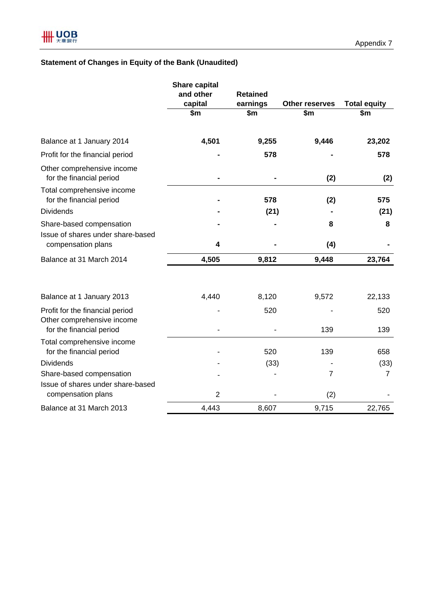# **Statement of Changes in Equity of the Bank (Unaudited)**

|                                                               | <b>Share capital</b><br>and other | <b>Retained</b> |                  |                     |
|---------------------------------------------------------------|-----------------------------------|-----------------|------------------|---------------------|
|                                                               | capital                           | earnings        | Other reserves   | <b>Total equity</b> |
|                                                               | $\overline{\text{sm}}$            | \$m             | $\overline{\$m}$ | $\frac{2}{3}$       |
| Balance at 1 January 2014                                     | 4,501                             | 9,255           | 9,446            | 23,202              |
| Profit for the financial period                               |                                   | 578             |                  | 578                 |
| Other comprehensive income<br>for the financial period        |                                   |                 | (2)              | (2)                 |
| Total comprehensive income<br>for the financial period        |                                   | 578             | (2)              | 575                 |
| <b>Dividends</b>                                              |                                   | (21)            |                  | (21)                |
| Share-based compensation<br>Issue of shares under share-based |                                   |                 | 8                | 8                   |
| compensation plans                                            | 4                                 |                 | (4)              |                     |
| Balance at 31 March 2014                                      | 4,505                             | 9,812           | 9,448            | 23,764              |
| Balance at 1 January 2013                                     | 4,440                             | 8,120           | 9,572            | 22,133              |
| Profit for the financial period<br>Other comprehensive income |                                   | 520             |                  | 520                 |
| for the financial period                                      |                                   |                 | 139              | 139                 |
| Total comprehensive income<br>for the financial period        |                                   | 520             | 139              | 658                 |
| <b>Dividends</b>                                              |                                   | (33)            |                  | (33)                |
| Share-based compensation<br>Issue of shares under share-based |                                   |                 | $\overline{7}$   | $\overline{7}$      |
| compensation plans                                            | $\overline{2}$                    |                 | (2)              |                     |
| Balance at 31 March 2013                                      | 4,443                             | 8,607           | 9,715            | 22,765              |